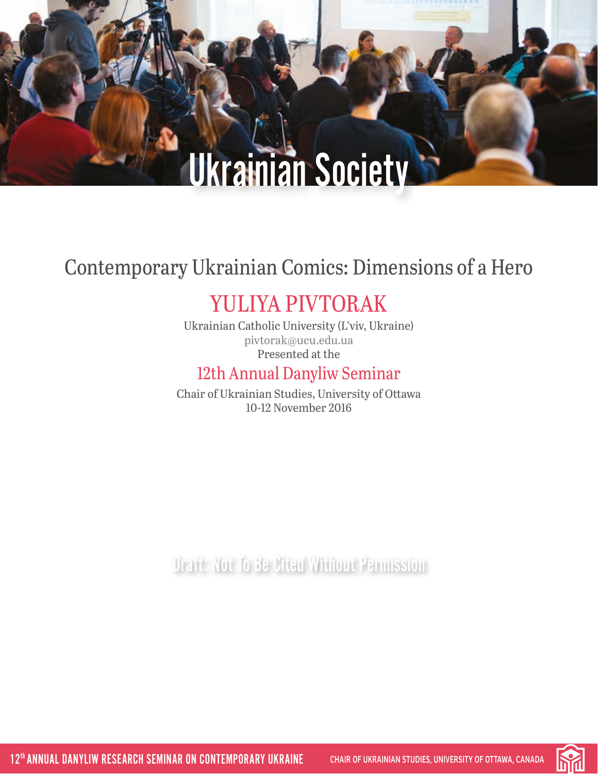# Contemporary Ukrainian Comics: Dimensions of a Hero

# YULIYA PIVTORAK

Ukrainian Catholic University (L'viv, Ukraine) [pivtorak@ucu.edu.ua](mailto:pivtorak%40ucu.edu.ua?subject=) Presented at the

### 12th Annual Danyliw Seminar

Chair of Ukrainian Studies, University of Ottawa 10-12 November 2016

Draft: Not To Be Cited Without Permission

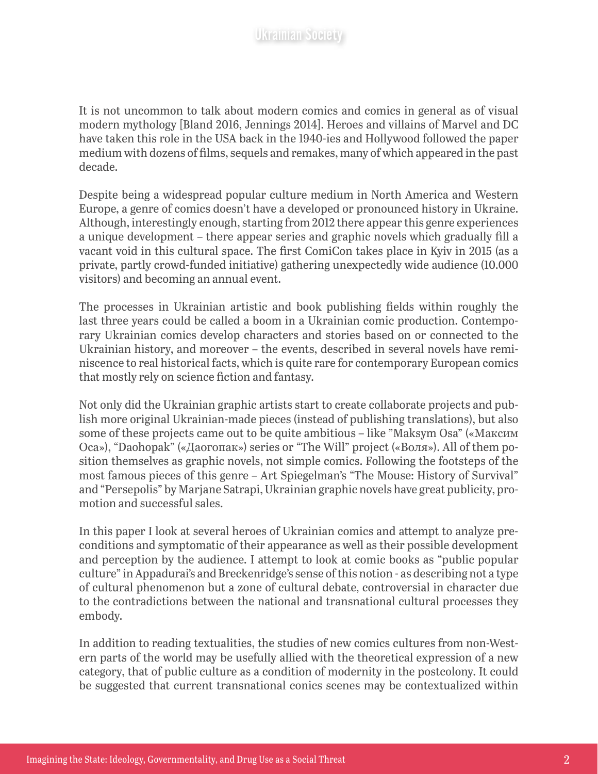It is not uncommon to talk about modern comics and comics in general as of visual modern mythology [Bland 2016, Jennings 2014]. Heroes and villains of Marvel and DC have taken this role in the USA back in the 1940-ies and Hollywood followed the paper medium with dozens of films, sequels and remakes, many of which appeared in the past decade.

Despite being a widespread popular culture medium in North America and Western Europe, a genre of comics doesn't have a developed or pronounced history in Ukraine. Although, interestingly enough, starting from 2012 there appear this genre experiences a unique development – there appear series and graphic novels which gradually fill a vacant void in this cultural space. The first ComiCon takes place in Kyiv in 2015 (as a private, partly crowd-funded initiative) gathering unexpectedly wide audience (10.000 visitors) and becoming an annual event.

The processes in Ukrainian artistic and book publishing fields within roughly the last three years could be called a boom in a Ukrainian comic production. Contemporary Ukrainian comics develop characters and stories based on or connected to the Ukrainian history, and moreover – the events, described in several novels have reminiscence to real historical facts, which is quite rare for contemporary European comics that mostly rely on science fiction and fantasy.

Not only did the Ukrainian graphic artists start to create collaborate projects and publish more original Ukrainian-made pieces (instead of publishing translations), but also some of these projects came out to be quite ambitious – like "Maksym Osa" («Максим Оса»), "Daohopak" («Даогопак») series or "The Will" project («Воля»). All of them position themselves as graphic novels, not simple comics. Following the footsteps of the most famous pieces of this genre – Art Spiegelman's "The Mouse: History of Survival" and "Persepolis" by Marjane Satrapi, Ukrainian graphic novels have great publicity, promotion and successful sales.

In this paper I look at several heroes of Ukrainian comics and attempt to analyze preconditions and symptomatic of their appearance as well as their possible development and perception by the audience. I attempt to look at comic books as "public popular culture" in Appadurai's and Breckenridge's sense of this notion - as describing not a type of cultural phenomenon but a zone of cultural debate, controversial in character due to the contradictions between the national and transnational cultural processes they embody.

In addition to reading textualities, the studies of new comics cultures from non-Western parts of the world may be usefully allied with the theoretical expression of a new category, that of public culture as a condition of modernity in the postcolony. It could be suggested that current transnational conics scenes may be contextualized within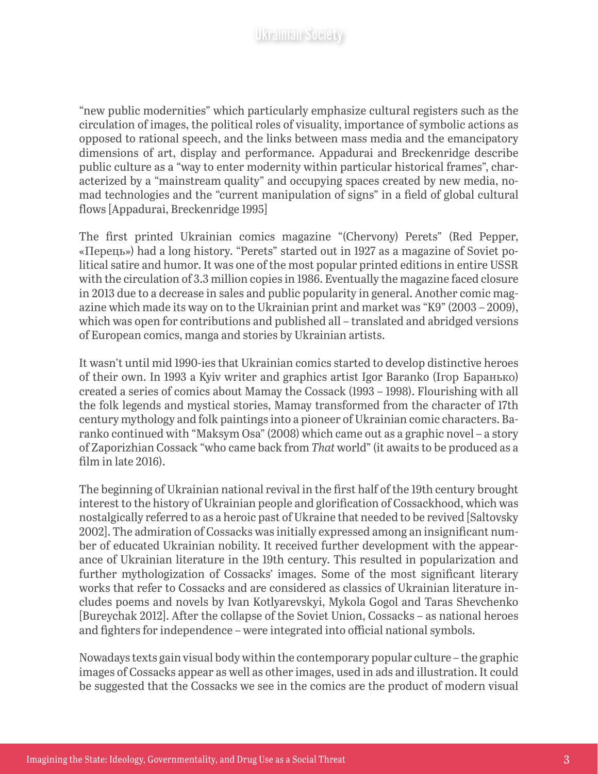"new public modernities" which particularly emphasize cultural registers such as the circulation of images, the political roles of visuality, importance of symbolic actions as opposed to rational speech, and the links between mass media and the emancipatory dimensions of art, display and performance. Appadurai and Breckenridge describe public culture as a "way to enter modernity within particular historical frames", characterized by a "mainstream quality" and occupying spaces created by new media, nomad technologies and the "current manipulation of signs" in a field of global cultural flows [Appadurai, Breckenridge 1995]

The first printed Ukrainian comics magazine "(Chervony) Perets" (Red Pepper, «Перець») had a long history. "Perets" started out in 1927 as a magazine of Soviet political satire and humor. It was one of the most popular printed editions in entire USSR with the circulation of 3.3 million copies in 1986. Eventually the magazine faced closure in 2013 due to a decrease in sales and public popularity in general. Another comic magazine which made its way on to the Ukrainian print and market was "K9" (2003 – 2009), which was open for contributions and published all – translated and abridged versions of European comics, manga and stories by Ukrainian artists.

It wasn't until mid 1990-ies that Ukrainian comics started to develop distinctive heroes of their own. In 1993 a Kyiv writer and graphics artist Igor Baranko (Ігор Баранько) created a series of comics about Mamay the Cossack (1993 – 1998). Flourishing with all the folk legends and mystical stories, Mamay transformed from the character of 17th century mythology and folk paintings into a pioneer of Ukrainian comic characters. Baranko continued with "Maksym Osa" (2008) which came out as a graphic novel – a story of Zaporizhian Cossack "who came back from *That* world" (it awaits to be produced as a film in late 2016).

The beginning of Ukrainian national revival in the first half of the 19th century brought interest to the history of Ukrainian people and glorification of Cossackhood, which was nostalgically referred to as a heroic past of Ukraine that needed to be revived [Saltovsky 2002]. The admiration of Cossacks was initially expressed among an insignificant number of educated Ukrainian nobility. It received further development with the appearance of Ukrainian literature in the 19th century. This resulted in popularization and further mythologization of Cossacks' images. Some of the most significant literary works that refer to Cossacks and are considered as classics of Ukrainian literature includes poems and novels by Ivan Kotlyarevskyi, Mykola Gogol and Taras Shevchenko [Bureychak 2012]. After the collapse of the Soviet Union, Cossacks – as national heroes and fighters for independence – were integrated into official national symbols.

Nowadays texts gain visual body within the contemporary popular culture – the graphic images of Cossacks appear as well as other images, used in ads and illustration. It could be suggested that the Cossacks we see in the comics are the product of modern visual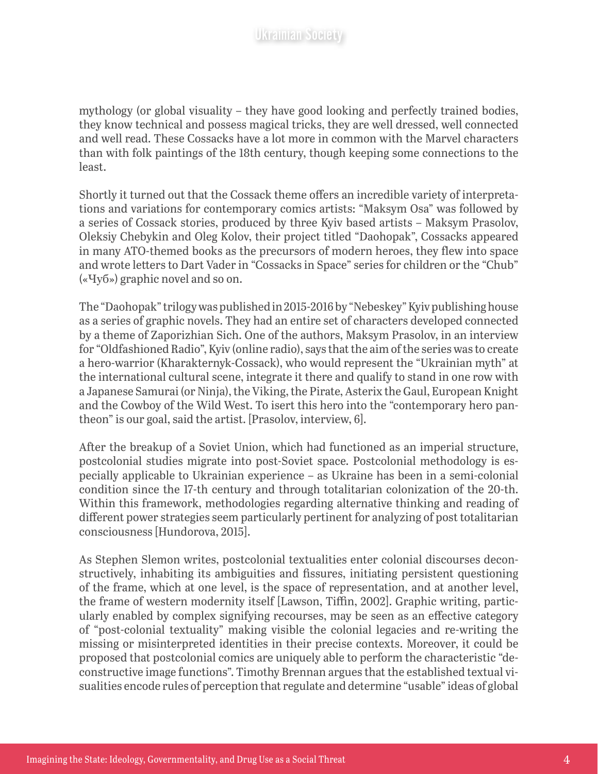mythology (or global visuality – they have good looking and perfectly trained bodies, they know technical and possess magical tricks, they are well dressed, well connected and well read. These Cossacks have a lot more in common with the Marvel characters than with folk paintings of the 18th century, though keeping some connections to the least.

Shortly it turned out that the Cossack theme offers an incredible variety of interpretations and variations for contemporary comics artists: "Maksym Osa" was followed by a series of Cossack stories, produced by three Kyiv based artists – Maksym Prasolov, Oleksiy Chebykin and Oleg Kolov, their project titled "Daohopak", Cossacks appeared in many ATO-themed books as the precursors of modern heroes, they flew into space and wrote letters to Dart Vader in "Cossacks in Space" series for children or the "Chub" («Чуб») graphic novel and so on.

The "Daohopak" trilogy was published in 2015-2016 by "Nebeskey" Kyiv publishing house as a series of graphic novels. They had an entire set of characters developed connected by a theme of Zaporizhian Sich. One of the authors, Maksym Prasolov, in an interview for "Oldfashioned Radio", Kyiv (online radio), says that the aim of the series was to create a hero-warrior (Kharakternyk-Cossack), who would represent the "Ukrainian myth" at the international cultural scene, integrate it there and qualify to stand in one row with a Japanese Samurai (or Ninja), the Viking, the Pirate, Asterix the Gaul, European Knight and the Cowboy of the Wild West. To isert this hero into the "contemporary hero pantheon" is our goal, said the artist. [Prasolov, interview, 6].

After the breakup of a Soviet Union, which had functioned as an imperial structure, postcolonial studies migrate into post-Soviet space. Postcolonial methodology is especially applicable to Ukrainian experience – as Ukraine has been in a semi-colonial condition since the 17-th century and through totalitarian colonization of the 20-th. Within this framework, methodologies regarding alternative thinking and reading of different power strategies seem particularly pertinent for analyzing of post totalitarian consciousness [Hundorova, 2015].

As Stephen Slemon writes, postcolonial textualities enter colonial discourses deconstructively, inhabiting its ambiguities and fissures, initiating persistent questioning of the frame, which at one level, is the space of representation, and at another level, the frame of western modernity itself [Lawson, Tiffin, 2002]. Graphic writing, particularly enabled by complex signifying recourses, may be seen as an effective category of "post-colonial textuality" making visible the colonial legacies and re-writing the missing or misinterpreted identities in their precise contexts. Moreover, it could be proposed that postcolonial comics are uniquely able to perform the characteristic "deconstructive image functions". Timothy Brennan argues that the established textual visualities encode rules of perception that regulate and determine "usable" ideas of global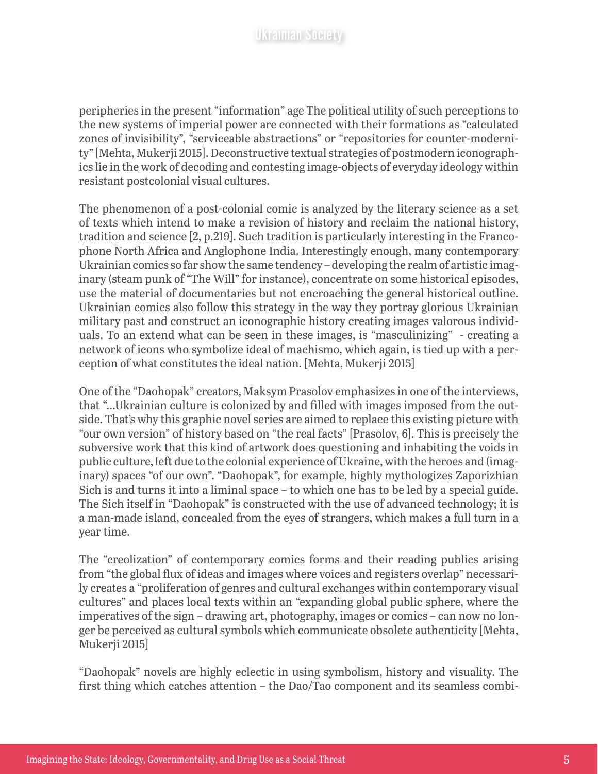peripheries in the present "information" age The political utility of such perceptions to the new systems of imperial power are connected with their formations as "calculated zones of invisibility", "serviceable abstractions" or "repositories for counter-modernity" [Mehta, Mukerji 2015]. Deconstructive textual strategies of postmodern iconographics lie in the work of decoding and contesting image-objects of everyday ideology within resistant postcolonial visual cultures.

The phenomenon of a post-colonial comic is analyzed by the literary science as a set of texts which intend to make a revision of history and reclaim the national history, tradition and science [2, p.219]. Such tradition is particularly interesting in the Francophone North Africa and Anglophone India. Interestingly enough, many contemporary Ukrainian comics so far show the same tendency – developing the realm of artistic imaginary (steam punk of "The Will" for instance), concentrate on some historical episodes, use the material of documentaries but not encroaching the general historical outline. Ukrainian comics also follow this strategy in the way they portray glorious Ukrainian military past and construct an iconographic history creating images valorous individuals. To an extend what can be seen in these images, is "masculinizing" - creating a network of icons who symbolize ideal of machismo, which again, is tied up with a perception of what constitutes the ideal nation. [Mehta, Mukerji 2015]

One of the "Daohopak" creators, Maksym Prasolov emphasizes in one of the interviews, that "…Ukrainian culture is colonized by and filled with images imposed from the outside. That's why this graphic novel series are aimed to replace this existing picture with "our own version" of history based on "the real facts" [Prasolov, 6]. This is precisely the subversive work that this kind of artwork does questioning and inhabiting the voids in public culture, left due to the colonial experience of Ukraine, with the heroes and (imaginary) spaces "of our own". "Daohopak", for example, highly mythologizes Zaporizhian Sich is and turns it into a liminal space – to which one has to be led by a special guide. The Sich itself in "Daohopak" is constructed with the use of advanced technology; it is a man-made island, concealed from the eyes of strangers, which makes a full turn in a year time.

The "creolization" of contemporary comics forms and their reading publics arising from "the global flux of ideas and images where voices and registers overlap" necessarily creates a "proliferation of genres and cultural exchanges within contemporary visual cultures" and places local texts within an "expanding global public sphere, where the imperatives of the sign – drawing art, photography, images or comics – can now no longer be perceived as cultural symbols which communicate obsolete authenticity [Mehta, Mukerji 2015]

"Daohopak" novels are highly eclectic in using symbolism, history and visuality. The first thing which catches attention – the Dao/Tao component and its seamless combi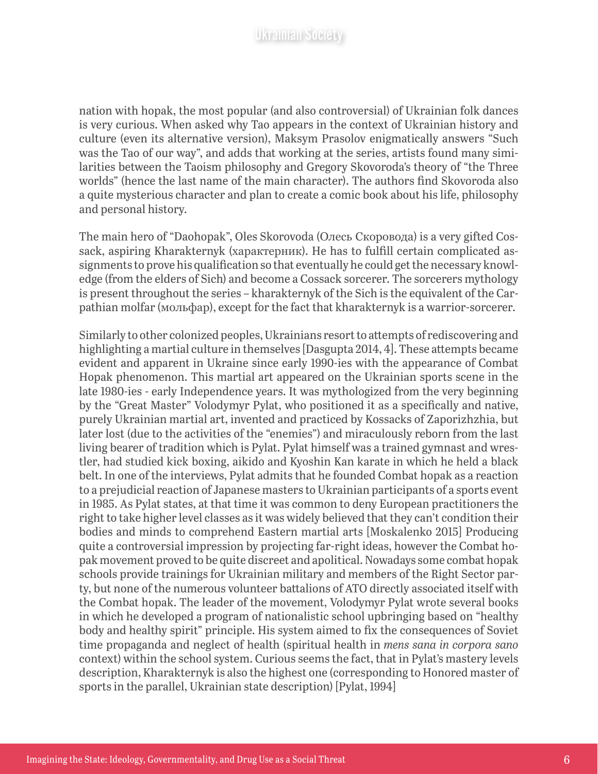nation with hopak, the most popular (and also controversial) of Ukrainian folk dances is very curious. When asked why Tao appears in the context of Ukrainian history and culture (even its alternative version), Maksym Prasolov enigmatically answers "Such was the Tao of our way", and adds that working at the series, artists found many similarities between the Taoism philosophy and Gregory Skovoroda's theory of "the Three worlds" (hence the last name of the main character). The authors find Skovoroda also a quite mysterious character and plan to create a comic book about his life, philosophy and personal history.

The main hero of "Daohopak", Oles Skorovoda (Олесь Скоровода) is a very gifted Cossack, aspiring Kharakternyk (характерник). He has to fulfill certain complicated assignments to prove his qualification so that eventually he could get the necessary knowledge (from the elders of Sich) and become a Cossack sorcerer. The sorcerers mythology is present throughout the series – kharakternyk of the Sich is the equivalent of the Carpathian molfar (мольфар), except for the fact that kharakternyk is a warrior-sorcerer.

Similarly to other colonized peoples, Ukrainians resort to attempts of rediscovering and highlighting a martial culture in themselves [Dasgupta 2014, 4]. These attempts became evident and apparent in Ukraine since early 1990-ies with the appearance of Combat Hopak phenomenon. This martial art appeared on the Ukrainian sports scene in the late 1980-ies - early Independence years. It was mythologized from the very beginning by the "Great Master" Volodymyr Pylat, who positioned it as a specifically and native, purely Ukrainian martial art, invented and practiced by Kossacks of Zaporizhzhia, but later lost (due to the activities of the "enemies") and miraculously reborn from the last living bearer of tradition which is Pylat. Pylat himself was a trained gymnast and wrestler, had studied kick boxing, aikido and Kyoshin Kan karate in which he held a black belt. In one of the interviews, Pylat admits that he founded Combat hopak as a reaction to a prejudicial reaction of Japanese masters to Ukrainian participants of a sports event in 1985. As Pylat states, at that time it was common to deny European practitioners the right to take higher level classes as it was widely believed that they can't condition their bodies and minds to comprehend Eastern martial arts [Moskalenko 2015] Producing quite a controversial impression by projecting far-right ideas, however the Combat hopak movement proved to be quite discreet and apolitical. Nowadays some combat hopak schools provide trainings for Ukrainian military and members of the Right Sector party, but none of the numerous volunteer battalions of ATO directly associated itself with the Combat hopak. The leader of the movement, Volodymyr Pylat wrote several books in which he developed a program of nationalistic school upbringing based on "healthy body and healthy spirit" principle. His system aimed to fix the consequences of Soviet time propaganda and neglect of health (spiritual health in *mens sana in corpora sano* context) within the school system. Curious seems the fact, that in Pylat's mastery levels description, Kharakternyk is also the highest one (corresponding to Honored master of sports in the parallel, Ukrainian state description) [Pylat, 1994]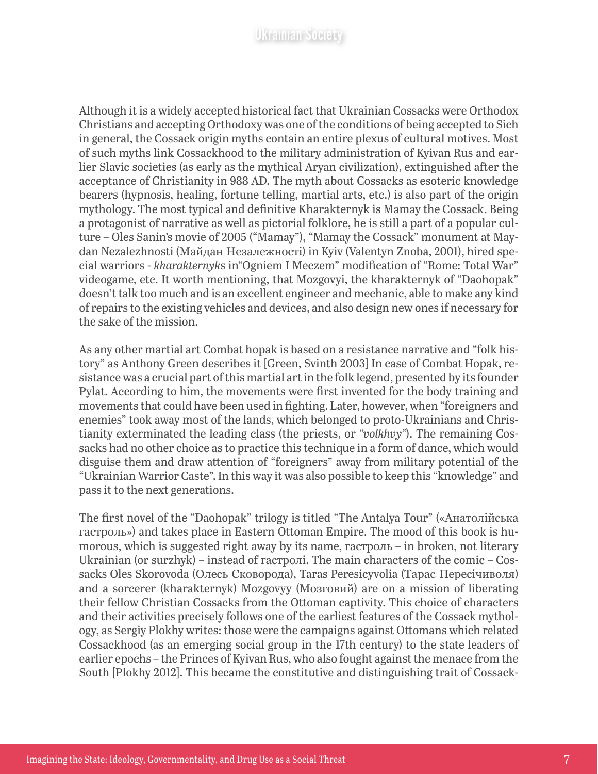Although it is a widely accepted historical fact that Ukrainian Cossacks were Orthodox Christians and accepting Orthodoxy was one of the conditions of being accepted to Sich in general, the Cossack origin myths contain an entire plexus of cultural motives. Most of such myths link Cossackhood to the military administration of Kyivan Rus and earlier Slavic societies (as early as the mythical Aryan civilization), extinguished after the acceptance of Christianity in 988 AD. The myth about Cossacks as esoteric knowledge bearers (hypnosis, healing, fortune telling, martial arts, etc.) is also part of the origin mythology. The most typical and definitive Kharakternyk is Mamay the Cossack. Being a protagonist of narrative as well as pictorial folklore, he is still a part of a popular culture – Oles Sanin's movie of 2005 ("Mamay"), "Mamay the Cossack" monument at Maydan Nezalezhnosti (Майдан Незалежності) in Kyiv (Valentyn Znoba, 2001), hired special warriors - *kharakternyk*s in"Ogniem I Meczem" modification of "Rome: Total War" videogame, etc. It worth mentioning, that Mozgovyi, the kharakternyk of "Daohopak" doesn't talk too much and is an excellent engineer and mechanic, able to make any kind of repairs to the existing vehicles and devices, and also design new ones if necessary for the sake of the mission.

As any other martial art Combat hopak is based on a resistance narrative and "folk history" as Anthony Green describes it [Green, Svinth 2003] In case of Combat Hopak, resistance was a crucial part of this martial art in the folk legend, presented by its founder Pylat. According to him, the movements were first invented for the body training and movements that could have been used in fighting. Later, however, when "foreigners and enemies" took away most of the lands, which belonged to proto-Ukrainians and Christianity exterminated the leading class (the priests, or *"volkhvy"*). The remaining Cossacks had no other choice as to practice this technique in a form of dance, which would disguise them and draw attention of "foreigners" away from military potential of the "Ukrainian Warrior Caste". In this way it was also possible to keep this "knowledge" and pass it to the next generations.

The first novel of the "Daohopak" trilogy is titled "The Antalya Tour" («Анатолійська гастроль») and takes place in Eastern Ottoman Empire. The mood of this book is humorous, which is suggested right away by its name, гастроль – in broken, not literary Ukrainian (or surzhyk) – instead of гастролі. The main characters of the comic – Cossacks Oles Skorovoda (Олесь Сковорода), Taras Peresicyvolia (Тарас Пересічиволя) and a sorcerer (kharakternyk) Mozgovyy (Мозговий) are on a mission of liberating their fellow Christian Cossacks from the Ottoman captivity. This choice of characters and their activities precisely follows one of the earliest features of the Cossack mythology, as Sergiy Plokhy writes: those were the campaigns against Ottomans which related Cossackhood (as an emerging social group in the 17th century) to the state leaders of earlier epochs – the Princes of Kyivan Rus, who also fought against the menace from the South [Plokhy 2012]. This became the constitutive and distinguishing trait of Cossack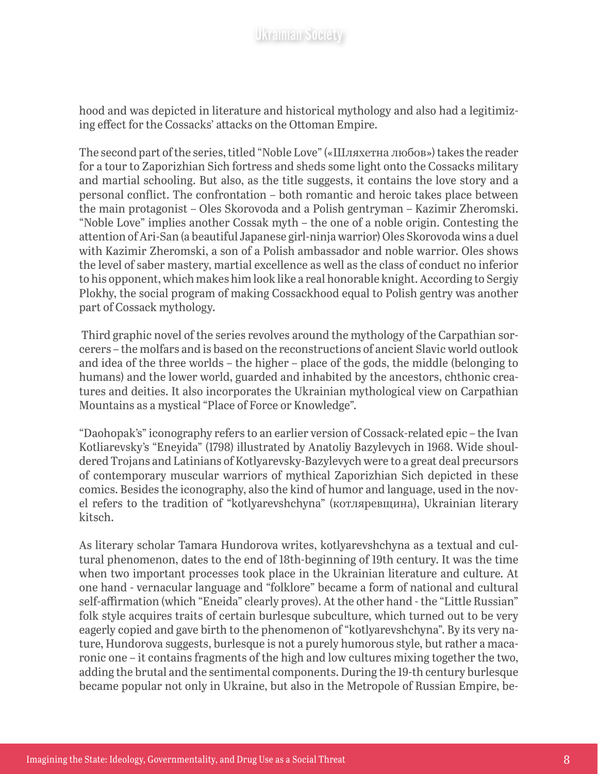hood and was depicted in literature and historical mythology and also had a legitimizing effect for the Cossacks' attacks on the Ottoman Empire.

The second part of the series, titled "Noble Love" («Шляхетна любов») takes the reader for a tour to Zaporizhian Sich fortress and sheds some light onto the Cossacks military and martial schooling. But also, as the title suggests, it contains the love story and a personal conflict. The confrontation – both romantic and heroic takes place between the main protagonist – Oles Skorovoda and a Polish gentryman – Kazimir Zheromski. "Noble Love" implies another Cossak myth – the one of a noble origin. Contesting the attention of Ari-San (a beautiful Japanese girl-ninja warrior) Oles Skorovoda wins a duel with Kazimir Zheromski, a son of a Polish ambassador and noble warrior. Oles shows the level of saber mastery, martial excellence as well as the class of conduct no inferior to his opponent, which makes him look like a real honorable knight. According to Sergiy Plokhy, the social program of making Cossackhood equal to Polish gentry was another part of Cossack mythology.

 Third graphic novel of the series revolves around the mythology of the Carpathian sorcerers – the molfars and is based on the reconstructions of ancient Slavic world outlook and idea of the three worlds – the higher – place of the gods, the middle (belonging to humans) and the lower world, guarded and inhabited by the ancestors, chthonic creatures and deities. It also incorporates the Ukrainian mythological view on Carpathian Mountains as a mystical "Place of Force or Knowledge".

"Daohopak's" iconography refers to an earlier version of Cossack-related epic – the Ivan Kotliarevsky's "Eneyida" (1798) illustrated by Anatoliy Bazylevych in 1968. Wide shouldered Trojans and Latinians of Kotlyarevsky-Bazylevych were to a great deal precursors of contemporary muscular warriors of mythical Zaporizhian Sich depicted in these comics. Besides the iconography, also the kind of humor and language, used in the novel refers to the tradition of "kotlyarevshchyna" (котляревщина), Ukrainian literary kitsch.

As literary scholar Tamara Hundorova writes, kotlyarevshchyna as a textual and cultural phenomenon, dates to the end of 18th-beginning of 19th century. It was the time when two important processes took place in the Ukrainian literature and culture. At one hand - vernacular language and "folklore" became a form of national and cultural self-affirmation (which "Eneida" clearly proves). At the other hand - the "Little Russian" folk style acquires traits of certain burlesque subculture, which turned out to be very eagerly copied and gave birth to the phenomenon of "kotlyarevshchyna". By its very nature, Hundorova suggests, burlesque is not a purely humorous style, but rather a macaronic one – it contains fragments of the high and low cultures mixing together the two, adding the brutal and the sentimental components. During the 19-th century burlesque became popular not only in Ukraine, but also in the Metropole of Russian Empire, be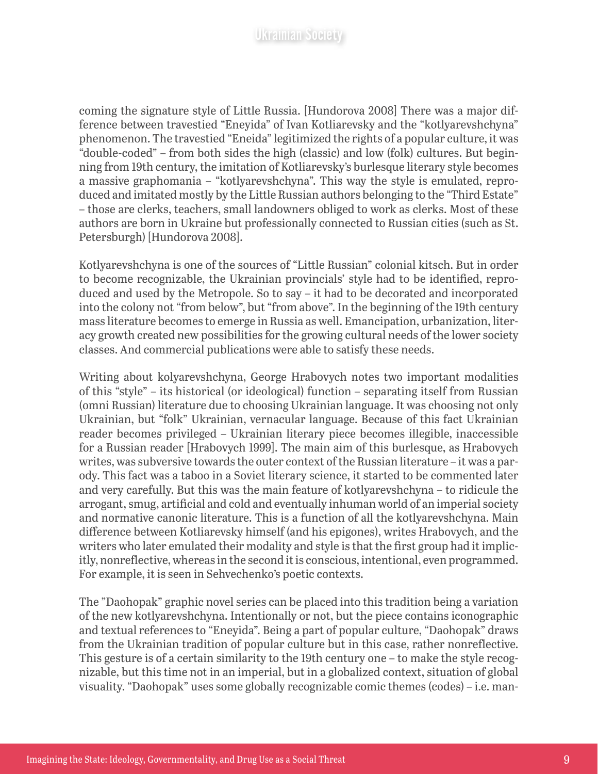coming the signature style of Little Russia. [Hundorova 2008] There was a major difference between travestied "Eneyida" of Ivan Kotliarevsky and the "kotlyarevshchyna" phenomenon. The travestied "Eneida" legitimized the rights of a popular culture, it was "double-coded" – from both sides the high (classic) and low (folk) cultures. But beginning from 19th century, the imitation of Kotliarevsky's burlesque literary style becomes a massive graphomania – "kotlyarevshchyna". This way the style is emulated, reproduced and imitated mostly by the Little Russian authors belonging to the "Third Estate" – those are clerks, teachers, small landowners obliged to work as clerks. Most of these authors are born in Ukraine but professionally connected to Russian cities (such as St. Petersburgh) [Hundorova 2008].

Kotlyarevshchyna is one of the sources of "Little Russian" colonial kitsch. But in order to become recognizable, the Ukrainian provincials' style had to be identified, reproduced and used by the Metropole. So to say – it had to be decorated and incorporated into the colony not "from below", but "from above". In the beginning of the 19th century mass literature becomes to emerge in Russia as well. Emancipation, urbanization, literacy growth created new possibilities for the growing cultural needs of the lower society classes. And commercial publications were able to satisfy these needs.

Writing about kolyarevshchyna, George Hrabovych notes two important modalities of this "style" – its historical (or ideological) function – separating itself from Russian (omni Russian) literature due to choosing Ukrainian language. It was choosing not only Ukrainian, but "folk" Ukrainian, vernacular language. Because of this fact Ukrainian reader becomes privileged – Ukrainian literary piece becomes illegible, inaccessible for a Russian reader [Hrabovych 1999]. The main aim of this burlesque, as Hrabovych writes, was subversive towards the outer context of the Russian literature – it was a parody. This fact was a taboo in a Soviet literary science, it started to be commented later and very carefully. But this was the main feature of kotlyarevshchyna – to ridicule the arrogant, smug, artificial and cold and eventually inhuman world of an imperial society and normative canonic literature. This is a function of all the kotlyarevshchyna. Main difference between Kotliarevsky himself (and his epigones), writes Hrabovych, and the writers who later emulated their modality and style is that the first group had it implicitly, nonreflective, whereas in the second it is conscious, intentional, even programmed. For example, it is seen in Sehvechenko's poetic contexts.

The "Daohopak" graphic novel series can be placed into this tradition being a variation of the new kotlyarevshchyna. Intentionally or not, but the piece contains iconographic and textual references to "Eneyida". Being a part of popular culture, "Daohopak" draws from the Ukrainian tradition of popular culture but in this case, rather nonreflective. This gesture is of a certain similarity to the 19th century one – to make the style recognizable, but this time not in an imperial, but in a globalized context, situation of global visuality. "Daohopak" uses some globally recognizable comic themes (codes) – i.e. man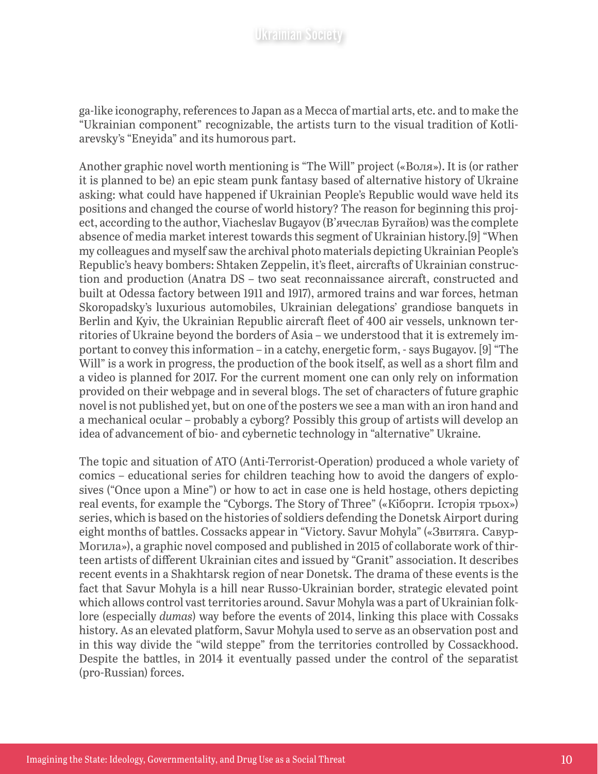ga-like iconography, references to Japan as a Mecca of martial arts, etc. and to make the "Ukrainian component" recognizable, the artists turn to the visual tradition of Kotliarevsky's "Eneyida" and its humorous part.

Another graphic novel worth mentioning is "The Will" project («Воля»). It is (or rather it is planned to be) an epic steam punk fantasy based of alternative history of Ukraine asking: what could have happened if Ukrainian People's Republic would wave held its positions and changed the course of world history? The reason for beginning this project, according to the author, Viacheslav Bugayov (В'ячеслав Бугайов) was the complete absence of media market interest towards this segment of Ukrainian history.[9] "When my colleagues and myself saw the archival photo materials depicting Ukrainian People's Republic's heavy bombers: Shtaken Zeppelin, it's fleet, aircrafts of Ukrainian construction and production (Anatra DS – two seat reconnaissance aircraft, constructed and built at Odessa factory between 1911 and 1917), armored trains and war forces, hetman Skoropadsky's luxurious automobiles, Ukrainian delegations' grandiose banquets in Berlin and Kyiv, the Ukrainian Republic aircraft fleet of 400 air vessels, unknown territories of Ukraine beyond the borders of Asia – we understood that it is extremely important to convey this information – in a catchy, energetic form, - says Bugayov. [9] "The Will" is a work in progress, the production of the book itself, as well as a short film and a video is planned for 2017. For the current moment one can only rely on information provided on their webpage and in several blogs. The set of characters of future graphic novel is not published yet, but on one of the posters we see a man with an iron hand and a mechanical ocular – probably a cyborg? Possibly this group of artists will develop an idea of advancement of bio- and cybernetic technology in "alternative" Ukraine.

The topic and situation of ATO (Anti-Terrorist-Operation) produced a whole variety of comics – educational series for children teaching how to avoid the dangers of explosives ("Once upon a Mine") or how to act in case one is held hostage, others depicting real events, for example the "Cyborgs. The Story of Three" («Кіборги. Історія трьох») series, which is based on the histories of soldiers defending the Donetsk Airport during eight months of battles. Cossacks appear in "Victory. Savur Mohyla" («Звитяга. Савур-Могила»), a graphic novel composed and published in 2015 of collaborate work of thirteen artists of different Ukrainian cites and issued by "Granit" association. It describes recent events in a Shakhtarsk region of near Donetsk. The drama of these events is the fact that Savur Mohyla is a hill near Russo-Ukrainian border, strategic elevated point which allows control vast territories around. Savur Mohyla was a part of Ukrainian folklore (especially *dumas*) way before the events of 2014, linking this place with Cossaks history. As an elevated platform, Savur Mohyla used to serve as an observation post and in this way divide the "wild steppe" from the territories controlled by Cossackhood. Despite the battles, in 2014 it eventually passed under the control of the separatist (pro-Russian) forces.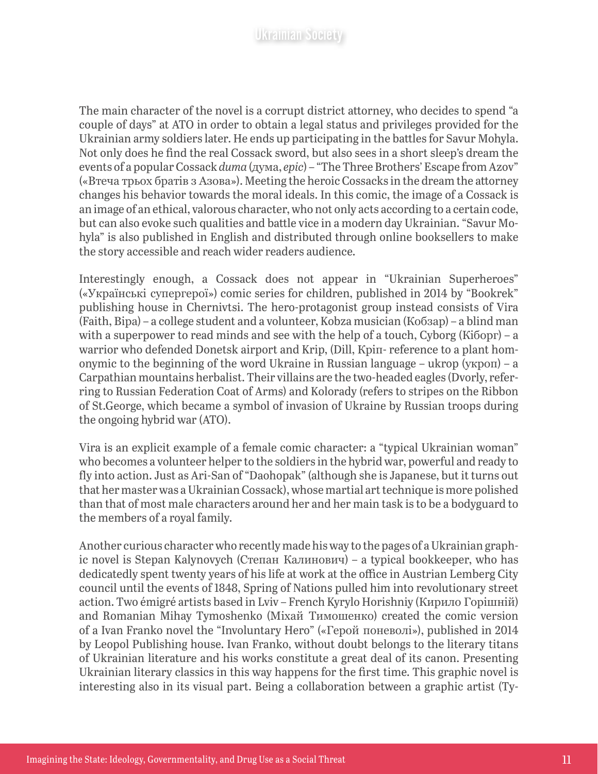The main character of the novel is a corrupt district attorney, who decides to spend "a couple of days" at ATO in order to obtain a legal status and privileges provided for the Ukrainian army soldiers later. He ends up participating in the battles for Savur Mohyla. Not only does he find the real Cossack sword, but also sees in a short sleep's dream the events of a popular Cossack *duma* (дума, *epic*) – "The Three Brothers' Escape from Azov" («Втеча трьох братів з Азова»). Meeting the heroic Cossacks in the dream the attorney changes his behavior towards the moral ideals. In this comic, the image of a Cossack is an image of an ethical, valorous character, who not only acts according to a certain code, but can also evoke such qualities and battle vice in a modern day Ukrainian. "Savur Mohyla" is also published in English and distributed through online booksellers to make the story accessible and reach wider readers audience.

Interestingly enough, a Cossack does not appear in "Ukrainian Superheroes" («Українські супергерої») comic series for children, published in 2014 by "Bookrek" publishing house in Chernivtsi. The hero-protagonist group instead consists of Vira (Faith, Віра) – a college student and a volunteer, Kobza musician (Кобзар) – a blind man with a superpower to read minds and see with the help of a touch, Cyborg (Кіборг) – a warrior who defended Donetsk airport and Krip, (Dill, Кріп- reference to a plant homonymic to the beginning of the word Ukraine in Russian language – ukrop (укроп) – a Carpathian mountains herbalist. Their villains are the two-headed eagles (Dvorly, referring to Russian Federation Coat of Arms) and Kolorady (refers to stripes on the Ribbon of St.George, which became a symbol of invasion of Ukraine by Russian troops during the ongoing hybrid war (ATO).

Vira is an explicit example of a female comic character: a "typical Ukrainian woman" who becomes a volunteer helper to the soldiers in the hybrid war, powerful and ready to fly into action. Just as Ari-San of "Daohopak" (although she is Japanese, but it turns out that her master was a Ukrainian Cossack), whose martial art technique is more polished than that of most male characters around her and her main task is to be a bodyguard to the members of a royal family.

Another curious character who recently made his way to the pages of a Ukrainian graphic novel is Stepan Kalynovych (Степан Калинович) – a typical bookkeeper, who has dedicatedly spent twenty years of his life at work at the office in Austrian Lemberg City council until the events of 1848, Spring of Nations pulled him into revolutionary street action. Two émigré artists based in Lviv – French Kyrylo Horishniy (Кирило Горішній) and Romanian Mihay Tymoshenko (Міхай Тимошенко) created the comic version of a Ivan Franko novel the "Involuntary Hero" («Герой поневолі»), published in 2014 by Leopol Publishing house. Ivan Franko, without doubt belongs to the literary titans of Ukrainian literature and his works constitute a great deal of its canon. Presenting Ukrainian literary classics in this way happens for the first time. This graphic novel is interesting also in its visual part. Being a collaboration between a graphic artist (Ty-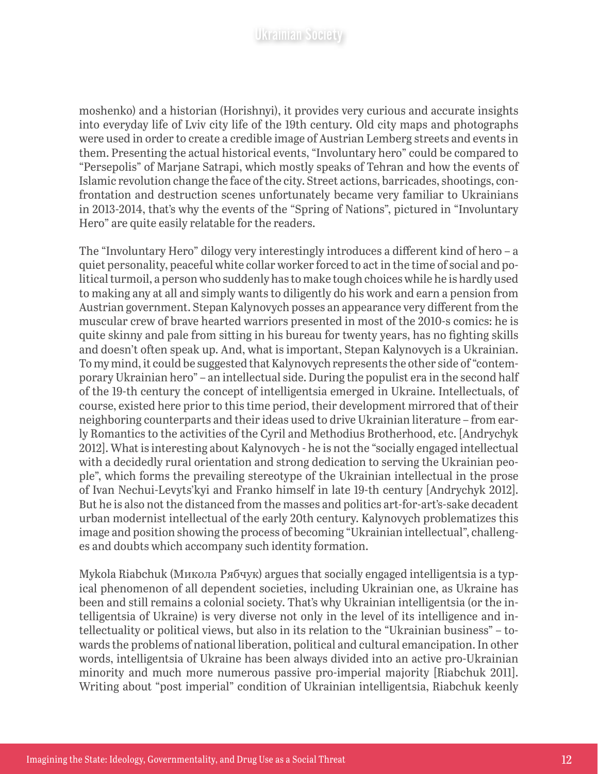moshenko) and a historian (Horishnyi), it provides very curious and accurate insights into everyday life of Lviv city life of the 19th century. Old city maps and photographs were used in order to create a credible image of Austrian Lemberg streets and events in them. Presenting the actual historical events, "Involuntary hero" could be compared to "Persepolis" of Marjane Satrapi, which mostly speaks of Tehran and how the events of Islamic revolution change the face of the city. Street actions, barricades, shootings, confrontation and destruction scenes unfortunately became very familiar to Ukrainians in 2013-2014, that's why the events of the "Spring of Nations", pictured in "Involuntary Hero" are quite easily relatable for the readers.

The "Involuntary Hero" dilogy very interestingly introduces a different kind of hero – a quiet personality, peaceful white collar worker forced to act in the time of social and political turmoil, a person who suddenly has to make tough choices while he is hardly used to making any at all and simply wants to diligently do his work and earn a pension from Austrian government. Stepan Kalynovych posses an appearance very different from the muscular crew of brave hearted warriors presented in most of the 2010-s comics: he is quite skinny and pale from sitting in his bureau for twenty years, has no fighting skills and doesn't often speak up. And, what is important, Stepan Kalynovych is a Ukrainian. To my mind, it could be suggested that Kalynovych represents the other side of "contemporary Ukrainian hero" – an intellectual side. During the populist era in the second half of the 19-th century the concept of intelligentsia emerged in Ukraine. Intellectuals, of course, existed here prior to this time period, their development mirrored that of their neighboring counterparts and their ideas used to drive Ukrainian literature – from early Romantics to the activities of the Cyril and Methodius Brotherhood, etc. [Andrychyk 2012]. What is interesting about Kalynovych - he is not the "socially engaged intellectual with a decidedly rural orientation and strong dedication to serving the Ukrainian people", which forms the prevailing stereotype of the Ukrainian intellectual in the prose of Ivan Nechui-Levyts'kyi and Franko himself in late 19-th century [Andrychyk 2012]. But he is also not the distanced from the masses and politics art-for-art's-sake decadent urban modernist intellectual of the early 20th century. Kalynovych problematizes this image and position showing the process of becoming "Ukrainian intellectual", challenges and doubts which accompany such identity formation.

Mykola Riabchuk (Микола Рябчук) argues that socially engaged intelligentsia is a typical phenomenon of all dependent societies, including Ukrainian one, as Ukraine has been and still remains a colonial society. That's why Ukrainian intelligentsia (or the intelligentsia of Ukraine) is very diverse not only in the level of its intelligence and intellectuality or political views, but also in its relation to the "Ukrainian business" – towards the problems of national liberation, political and cultural emancipation. In other words, intelligentsia of Ukraine has been always divided into an active pro-Ukrainian minority and much more numerous passive pro-imperial majority [Riabchuk 2011]. Writing about "post imperial" condition of Ukrainian intelligentsia, Riabchuk keenly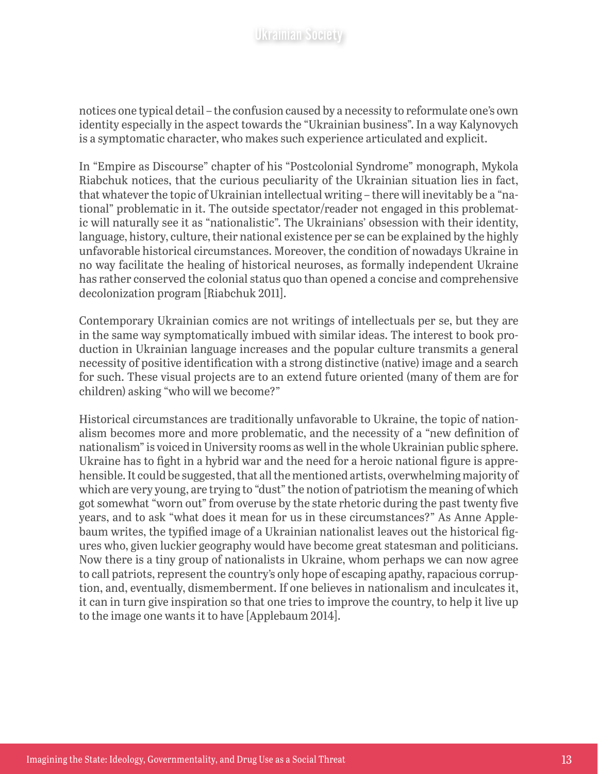notices one typical detail – the confusion caused by a necessity to reformulate one's own identity especially in the aspect towards the "Ukrainian business". In a way Kalynovych is a symptomatic character, who makes such experience articulated and explicit.

In "Empire as Discourse" chapter of his "Postcolonial Syndrome" monograph, Mykola Riabchuk notices, that the curious peculiarity of the Ukrainian situation lies in fact, that whatever the topic of Ukrainian intellectual writing – there will inevitably be a "national" problematic in it. The outside spectator/reader not engaged in this problematic will naturally see it as "nationalistic". The Ukrainians' obsession with their identity, language, history, culture, their national existence per se can be explained by the highly unfavorable historical circumstances. Moreover, the condition of nowadays Ukraine in no way facilitate the healing of historical neuroses, as formally independent Ukraine has rather conserved the colonial status quo than opened a concise and comprehensive decolonization program [Riabchuk 2011].

Contemporary Ukrainian comics are not writings of intellectuals per se, but they are in the same way symptomatically imbued with similar ideas. The interest to book production in Ukrainian language increases and the popular culture transmits a general necessity of positive identification with a strong distinctive (native) image and a search for such. These visual projects are to an extend future oriented (many of them are for children) asking "who will we become?"

Historical circumstances are traditionally unfavorable to Ukraine, the topic of nationalism becomes more and more problematic, and the necessity of a "new definition of nationalism" is voiced in University rooms as well in the whole Ukrainian public sphere. Ukraine has to fight in a hybrid war and the need for a heroic national figure is apprehensible. It could be suggested, that all the mentioned artists, overwhelming majority of which are very young, are trying to "dust" the notion of patriotism the meaning of which got somewhat "worn out" from overuse by the state rhetoric during the past twenty five years, and to ask "what does it mean for us in these circumstances?" As Anne Applebaum writes, the typified image of a Ukrainian nationalist leaves out the historical figures who, given luckier geography would have become great statesman and politicians. Now there is a tiny group of nationalists in Ukraine, whom perhaps we can now agree to call patriots, represent the country's only hope of escaping apathy, rapacious corruption, and, eventually, dismemberment. If one believes in nationalism and inculcates it, it can in turn give inspiration so that one tries to improve the country, to help it live up to the image one wants it to have [Applebaum 2014].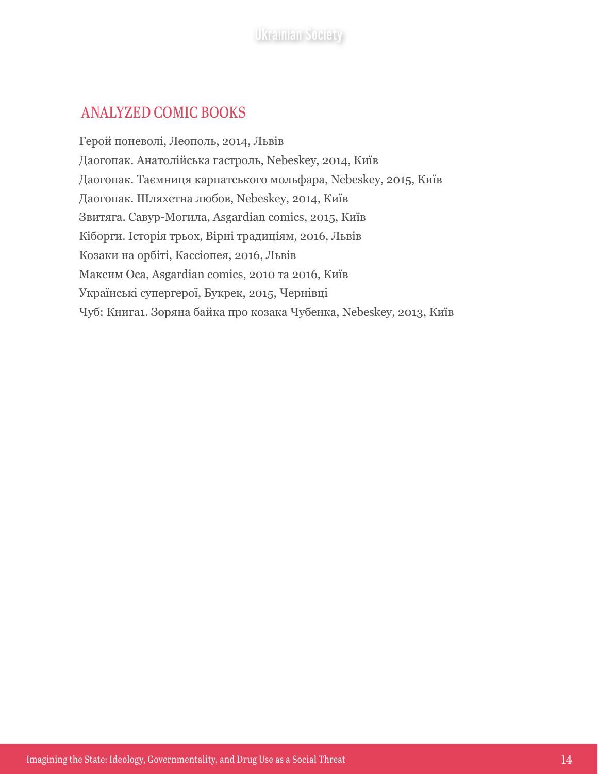#### ANALYZED COMIC BOOKS

Герой поневолі, Леополь, 2014, Львів Даогопак. Анатолійська гастроль, Nebeskey, 2014, Київ Даогопак. Таємниця карпатського мольфара, Nebeskey, 2015, Київ Даогопак. Шляхетна любов, Nebeskey, 2014, Київ Звитяга. Савур-Могила, Asgardian comics, 2015, Київ Кіборги. Історія трьох, Вірні традиціям, 2016, Львів Козаки на орбіті, Кассіопея, 2016, Львів Максим Оса, Asgardian comics, 2010 та 2016, Київ Українські супергерої, Букрек, 2015, Чернівці Чуб: Книга1. Зоряна байка про козака Чубенка, Nebeskey, 2013, Київ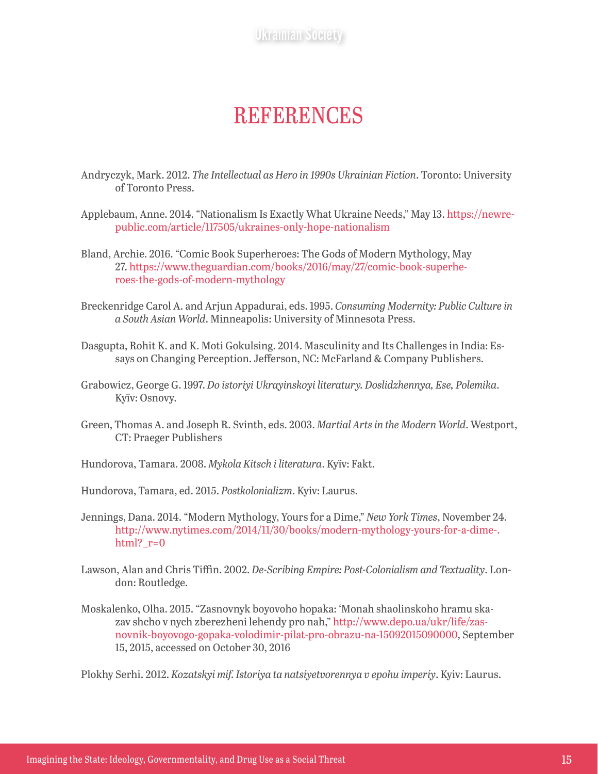## **REFERENCES**

- Andryczyk, Mark. 2012. *The Intellectual as Hero in 1990s Ukrainian Fiction*. Toronto: University of Toronto Press.
- Applebaum, Anne. 2014. "Nationalism Is Exactly What Ukraine Needs," May 13. [https://newre](https://newrepublic.com/article/117505/ukraines-only-hope-nationalism)[public.com/article/117505/ukraines-only-hope-nationalism](https://newrepublic.com/article/117505/ukraines-only-hope-nationalism)
- Bland, Archie. 2016. "Comic Book Superheroes: The Gods of Modern Mythology, May 27. [https://www.theguardian.com/books/2016/may/27/comic-book-superhe](https://www.theguardian.com/books/2016/may/27/comic-book-superheroes-the-gods-of-modern-mythology)[roes-the-gods-of-modern-mythology](https://www.theguardian.com/books/2016/may/27/comic-book-superheroes-the-gods-of-modern-mythology)
- Breckenridge Carol A. and Arjun Appadurai, eds. 1995. *Consuming Modernity: Public Culture in a South Asian World*. Minneapolis: University of Minnesota Press.
- Dasgupta, Rohit K. and K. Moti Gokulsing. 2014. Masculinity and Its Challenges in India: Essays on Changing Perception. Jefferson, NC: McFarland & Company Publishers.
- Grabowicz, George G. 1997. *Do istoriyi Ukrayinskoyi literatury. Doslidzhennya, Ese, Polemika*. Kyïv: Osnovy.
- Green, Thomas A. and Joseph R. Svinth, eds. 2003. *Martial Arts in the Modern World*. Westport, CT: Praeger Publishers
- Hundorova, Тamara. 2008. *Mykola Kitsch i literatura*. Kyïv: Fakt.
- Hundorova, Tamara, ed. 2015. *Postkolonializm*. Kyiv: Laurus.
- Jennings, Dana. 2014. "Modern Mythology, Yours for a Dime," *New York Times*, November 24. [http://www.nytimes.com/2014/11/30/books/modern-mythology-yours-for-a-dime-.](http://www.nytimes.com/2014/11/30/books/modern-mythology-yours-for-a-dime-.html?_r=0) html?  $r=0$
- Lawson, Alan and Chris Tiffin. 2002. *De-Scribing Empire: Post-Colonialism and Textuality*. London: Routledge.
- Moskalenko, Olha. 2015. "Zasnovnyk boyovoho hopaka: 'Monah shaolinskoho hramu skazav shcho v nych zberezheni lehendy pro nah," [http://www.depo.ua/ukr/life/zas](http://www.depo.ua/ukr/life/zasnovnik-boyovogo-gopaka-volodimir-pilat-pro-obrazu-na-15092015090000)[novnik-boyovogo-gopaka-volodimir-pilat-pro-obrazu-na-15092015090000,](http://www.depo.ua/ukr/life/zasnovnik-boyovogo-gopaka-volodimir-pilat-pro-obrazu-na-15092015090000) September 15, 2015, accessed on October 30, 2016

Plokhy Serhi. 2012. *Kozatskyi mif. Istoriya ta natsiyetvorennya v epohu imperiy*. Kyiv: Laurus.